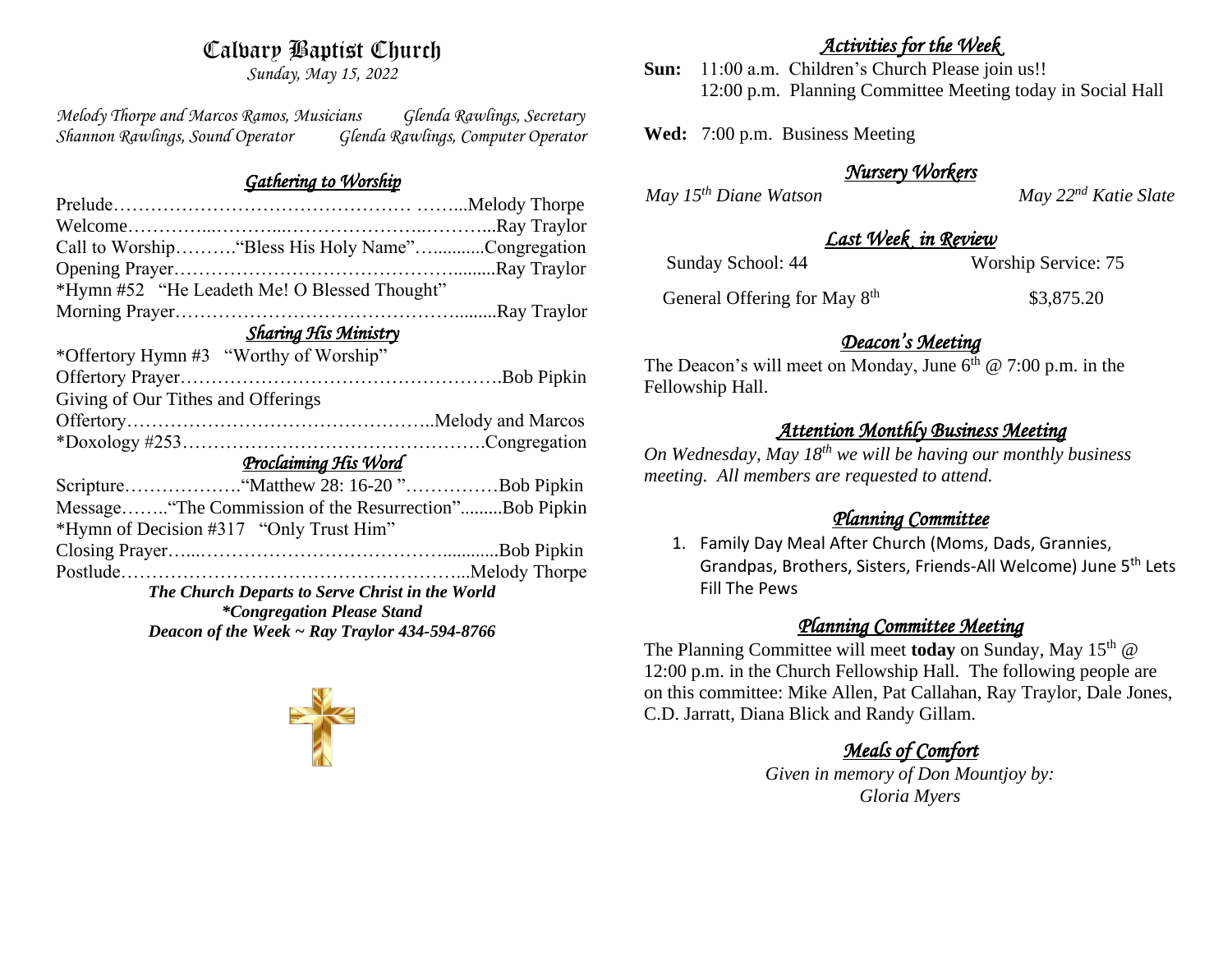# Calvary Baptist Church

*Sunday, May 15, 2022*

*Melody Thorpe and Marcos Ramos, Musicians Glenda Rawlings, Secretary Shannon Rawlings, Sound Operator Glenda Rawlings, Computer Operator* 

### *Gathering to Worship*

| Call to Worship "Bless His Holy Name"Congregation                                       |  |  |
|-----------------------------------------------------------------------------------------|--|--|
|                                                                                         |  |  |
| *Hymn #52 "He Leadeth Me! O Blessed Thought"                                            |  |  |
|                                                                                         |  |  |
| <b>Sharing His Ministry</b>                                                             |  |  |
| *Offertory Hymn #3 "Worthy of Worship"                                                  |  |  |
|                                                                                         |  |  |
| Giving of Our Tithes and Offerings                                                      |  |  |
|                                                                                         |  |  |
|                                                                                         |  |  |
| Proclaiming His Word                                                                    |  |  |
|                                                                                         |  |  |
| Message "The Commission of the Resurrection"Bob Pipkin                                  |  |  |
| *Hymn of Decision #317 "Only Trust Him"                                                 |  |  |
|                                                                                         |  |  |
|                                                                                         |  |  |
| The Church Departs to Serve Christ in the World                                         |  |  |
|                                                                                         |  |  |
| <i>*Congregation Please Stand</i><br>Deacon of the Week $\sim$ Ray Traylor 434-594-8766 |  |  |



## *Activities for the Week*

**Sun:** 11:00 a.m. Children's Church Please join us!! 12:00 p.m. Planning Committee Meeting today in Social Hall

**Wed:** 7:00 p.m. Business Meeting

# *Nursery Workers*

*May 15th Diane Watson May 22nd Katie Slate* 

## *Last Week in Review*

Sunday School: 44 Worship Service: 75

General Offering for May 8<sup>th</sup>

\$3,875.20

# *Deacon's Meeting*

The Deacon's will meet on Monday, June  $6<sup>th</sup>$  @ 7:00 p.m. in the Fellowship Hall.

# *Attention Monthly Business Meeting*

*On Wednesday, May 18th we will be having our monthly business meeting. All members are requested to attend.* 

# *Planning Committee*

1. Family Day Meal After Church (Moms, Dads, Grannies, Grandpas, Brothers, Sisters, Friends-All Welcome) June 5th Lets Fill The Pews

# *Planning Committee Meeting*

The Planning Committee will meet **today** on Sunday, May 15<sup>th</sup> @ 12:00 p.m. in the Church Fellowship Hall. The following people are on this committee: Mike Allen, Pat Callahan, Ray Traylor, Dale Jones, C.D. Jarratt, Diana Blick and Randy Gillam.

# *Meals of Comfort*

*Given in memory of Don Mountjoy by: Gloria Myers*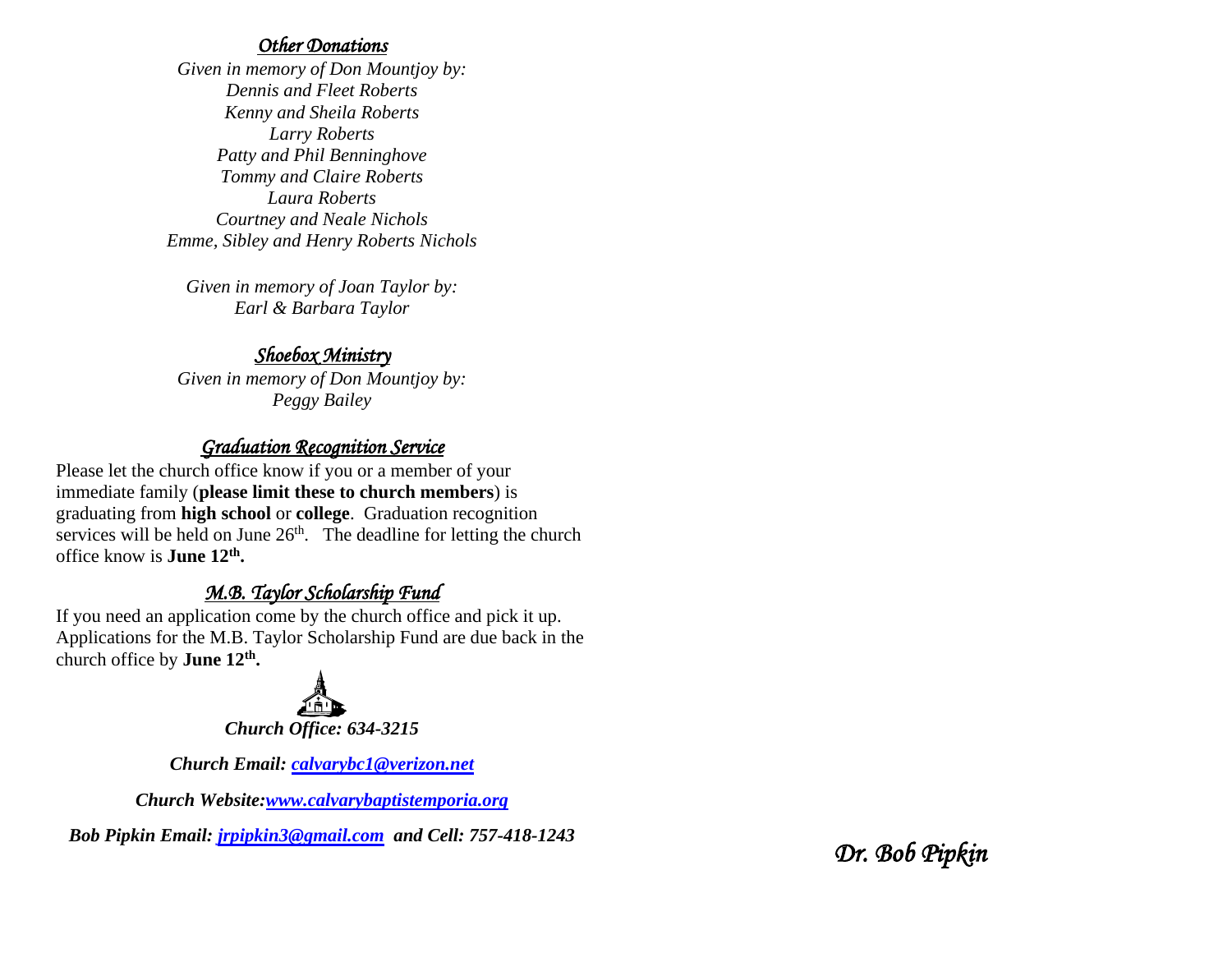#### *Other Donations*

*Given in memory of Don Mountjoy by: Dennis and Fleet Roberts Kenny and Sheila Roberts Larry Roberts Patty and Phil Benninghove Tommy and Claire Roberts Laura Roberts Courtney and Neale Nichols Emme, Sibley and Henry Roberts Nichols*

*Given in memory of Joan Taylor by: Earl & Barbara Taylor*

### *Shoebox Ministry*

*Given in memory of Don Mountjoy by: Peggy Bailey*

## *Graduation Recognition Service*

Please let the church office know if you or a member of your immediate family (**please limit these to church members**) is graduating from **high school** or **college**. Graduation recognition services will be held on June  $26<sup>th</sup>$ . The deadline for letting the church office know is **June 12th .**

# *M.B. Taylor Scholarship Fund*

If you need an application come by the church office and pick it up. Applications for the M.B. Taylor Scholarship Fund are due back in the church office by **June 12th .**



*Church Email: [calvarybc1@verizon.net](mailto:cbcemporiaoffice@gmail.com)*

*Church Website[:www.calvarybaptistemporia.org](http://www.calvarybaptistemporia.org/)*

*Bob Pipkin Email: [jrpipkin3@gmail.com](mailto:jrpipkin3@gmail.com) and Cell: 757-418-1243* 

*Dr. Bob Pipkin*